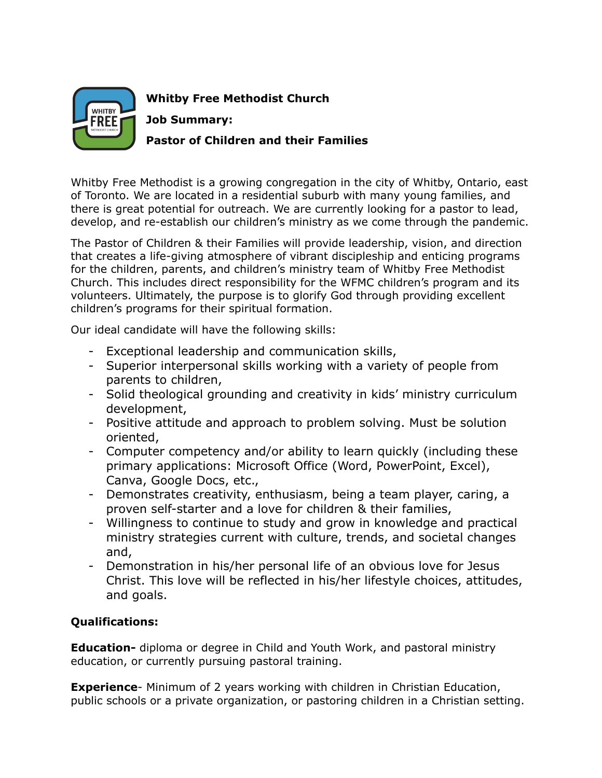

**Whitby Free Methodist Church Job Summary: Pastor of Children and their Families**

Whitby Free Methodist is a growing congregation in the city of Whitby, Ontario, east of Toronto. We are located in a residential suburb with many young families, and there is great potential for outreach. We are currently looking for a pastor to lead, develop, and re-establish our children's ministry as we come through the pandemic.

The Pastor of Children & their Families will provide leadership, vision, and direction that creates a life-giving atmosphere of vibrant discipleship and enticing programs for the children, parents, and children's ministry team of Whitby Free Methodist Church. This includes direct responsibility for the WFMC children's program and its volunteers. Ultimately, the purpose is to glorify God through providing excellent children's programs for their spiritual formation.

Our ideal candidate will have the following skills:

- Exceptional leadership and communication skills,
- Superior interpersonal skills working with a variety of people from parents to children,
- Solid theological grounding and creativity in kids' ministry curriculum development,
- Positive attitude and approach to problem solving. Must be solution oriented,
- Computer competency and/or ability to learn quickly (including these primary applications: Microsoft Office (Word, PowerPoint, Excel), Canva, Google Docs, etc.,
- Demonstrates creativity, enthusiasm, being a team player, caring, a proven self-starter and a love for children & their families,
- Willingness to continue to study and grow in knowledge and practical ministry strategies current with culture, trends, and societal changes and,
- Demonstration in his/her personal life of an obvious love for Jesus Christ. This love will be reflected in his/her lifestyle choices, attitudes, and goals.

## **Qualifications:**

**Education-** diploma or degree in Child and Youth Work, and pastoral ministry education, or currently pursuing pastoral training.

**Experience**- Minimum of 2 years working with children in Christian Education, public schools or a private organization, or pastoring children in a Christian setting.